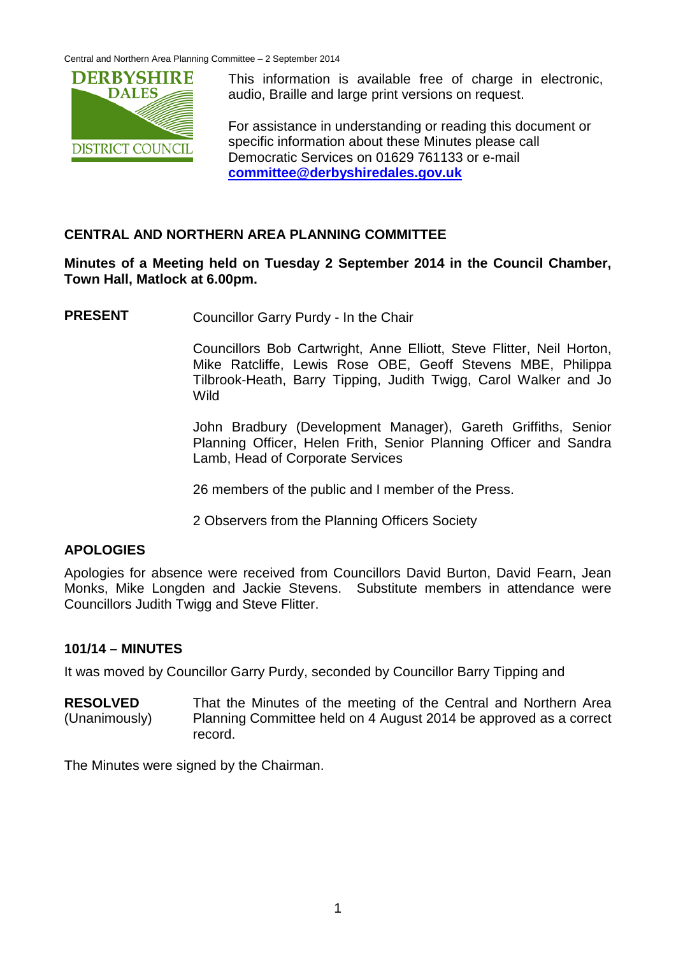Central and Northern Area Planning Committee – 2 September 2014



This information is available free of charge in electronic, audio, Braille and large print versions on request.

For assistance in understanding or reading this document or specific information about these Minutes please call Democratic Services on 01629 761133 or e-mail **[committee@derbyshiredales.gov.uk](mailto:committee@derbyshiredales.gov.uk)**

# **CENTRAL AND NORTHERN AREA PLANNING COMMITTEE**

**Minutes of a Meeting held on Tuesday 2 September 2014 in the Council Chamber, Town Hall, Matlock at 6.00pm.**

**PRESENT** Councillor Garry Purdy - In the Chair

Councillors Bob Cartwright, Anne Elliott, Steve Flitter, Neil Horton, Mike Ratcliffe, Lewis Rose OBE, Geoff Stevens MBE, Philippa Tilbrook-Heath, Barry Tipping, Judith Twigg, Carol Walker and Jo Wild

John Bradbury (Development Manager), Gareth Griffiths, Senior Planning Officer, Helen Frith, Senior Planning Officer and Sandra Lamb, Head of Corporate Services

26 members of the public and I member of the Press.

2 Observers from the Planning Officers Society

## **APOLOGIES**

Apologies for absence were received from Councillors David Burton, David Fearn, Jean Monks, Mike Longden and Jackie Stevens. Substitute members in attendance were Councillors Judith Twigg and Steve Flitter.

## **101/14 – MINUTES**

It was moved by Councillor Garry Purdy, seconded by Councillor Barry Tipping and

**RESOLVED** (Unanimously) That the Minutes of the meeting of the Central and Northern Area Planning Committee held on 4 August 2014 be approved as a correct record.

The Minutes were signed by the Chairman.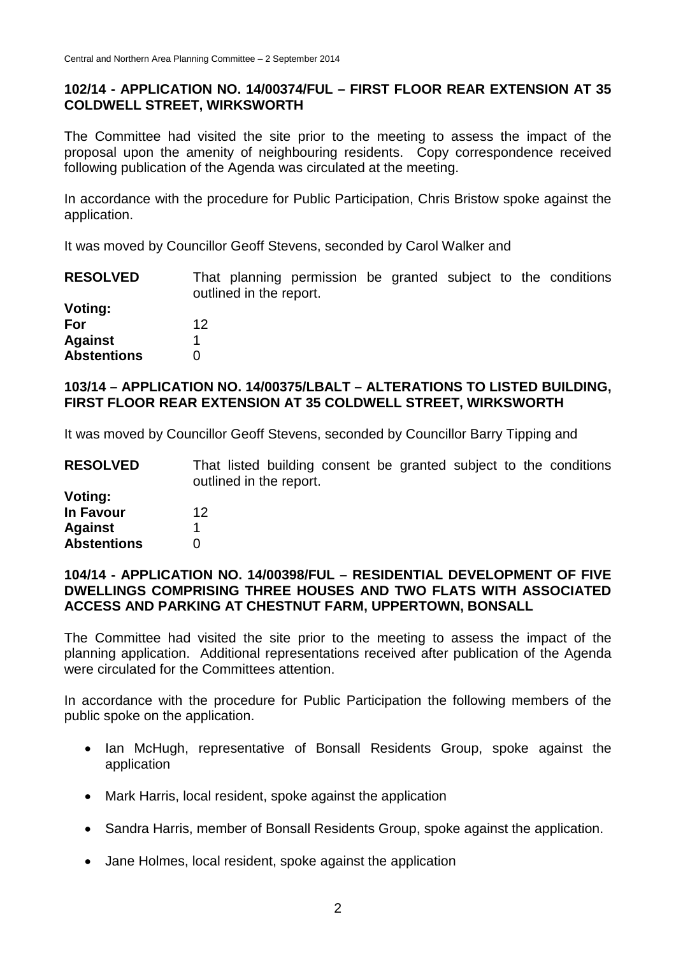## **102/14 - APPLICATION NO. 14/00374/FUL – FIRST FLOOR REAR EXTENSION AT 35 COLDWELL STREET, WIRKSWORTH**

The Committee had visited the site prior to the meeting to assess the impact of the proposal upon the amenity of neighbouring residents. Copy correspondence received following publication of the Agenda was circulated at the meeting.

In accordance with the procedure for Public Participation, Chris Bristow spoke against the application.

It was moved by Councillor Geoff Stevens, seconded by Carol Walker and

| <b>RESOLVED</b>    | That planning permission be granted subject to the conditions<br>outlined in the report. |  |
|--------------------|------------------------------------------------------------------------------------------|--|
| Voting:            |                                                                                          |  |
| For                | 12                                                                                       |  |
| <b>Against</b>     |                                                                                          |  |
| <b>Abstentions</b> |                                                                                          |  |

# **103/14 – APPLICATION NO. 14/00375/LBALT – ALTERATIONS TO LISTED BUILDING, FIRST FLOOR REAR EXTENSION AT 35 COLDWELL STREET, WIRKSWORTH**

It was moved by Councillor Geoff Stevens, seconded by Councillor Barry Tipping and

| <b>RESOLVED</b>    | That listed building consent be granted subject to the conditions<br>outlined in the report. |
|--------------------|----------------------------------------------------------------------------------------------|
| Voting:            |                                                                                              |
| <b>In Favour</b>   | 12                                                                                           |
| <b>Against</b>     |                                                                                              |
| <b>Abstentions</b> |                                                                                              |

### **104/14 - APPLICATION NO. 14/00398/FUL – RESIDENTIAL DEVELOPMENT OF FIVE DWELLINGS COMPRISING THREE HOUSES AND TWO FLATS WITH ASSOCIATED ACCESS AND PARKING AT CHESTNUT FARM, UPPERTOWN, BONSALL**

The Committee had visited the site prior to the meeting to assess the impact of the planning application. Additional representations received after publication of the Agenda were circulated for the Committees attention.

In accordance with the procedure for Public Participation the following members of the public spoke on the application.

- Ian McHugh, representative of Bonsall Residents Group, spoke against the application
- Mark Harris, local resident, spoke against the application
- Sandra Harris, member of Bonsall Residents Group, spoke against the application.
- Jane Holmes, local resident, spoke against the application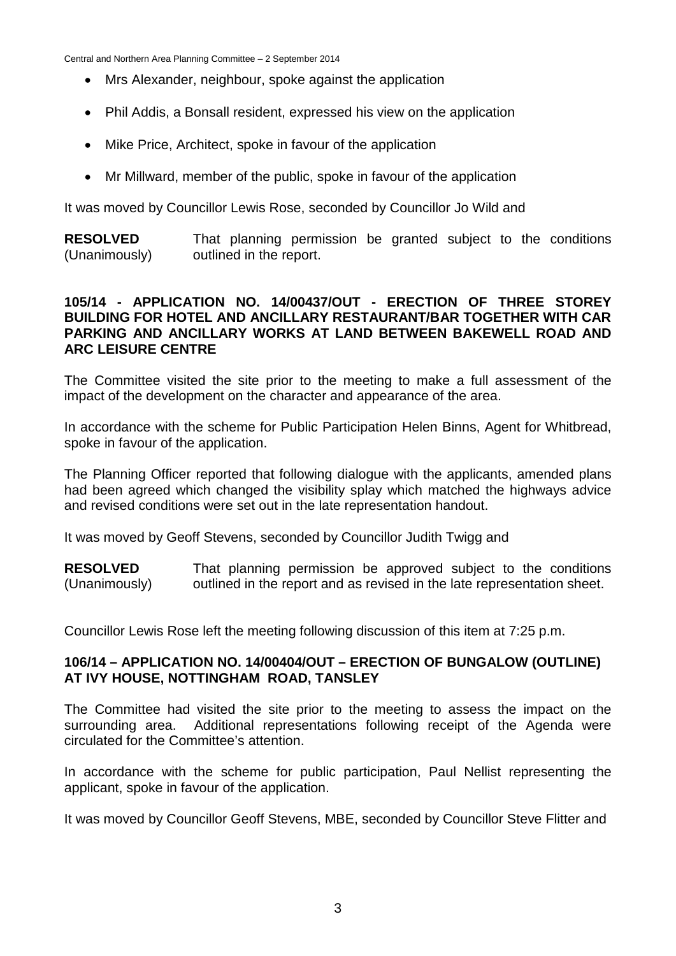Central and Northern Area Planning Committee – 2 September 2014

- Mrs Alexander, neighbour, spoke against the application
- Phil Addis, a Bonsall resident, expressed his view on the application
- Mike Price, Architect, spoke in favour of the application
- Mr Millward, member of the public, spoke in favour of the application

It was moved by Councillor Lewis Rose, seconded by Councillor Jo Wild and

**RESOLVED** (Unanimously) That planning permission be granted subject to the conditions outlined in the report.

### **105/14 - APPLICATION NO. 14/00437/OUT - ERECTION OF THREE STOREY BUILDING FOR HOTEL AND ANCILLARY RESTAURANT/BAR TOGETHER WITH CAR PARKING AND ANCILLARY WORKS AT LAND BETWEEN BAKEWELL ROAD AND ARC LEISURE CENTRE**

The Committee visited the site prior to the meeting to make a full assessment of the impact of the development on the character and appearance of the area.

In accordance with the scheme for Public Participation Helen Binns, Agent for Whitbread, spoke in favour of the application.

The Planning Officer reported that following dialogue with the applicants, amended plans had been agreed which changed the visibility splay which matched the highways advice and revised conditions were set out in the late representation handout.

It was moved by Geoff Stevens, seconded by Councillor Judith Twigg and

**RESOLVED** (Unanimously) That planning permission be approved subject to the conditions outlined in the report and as revised in the late representation sheet.

Councillor Lewis Rose left the meeting following discussion of this item at 7:25 p.m.

### **106/14 – APPLICATION NO. 14/00404/OUT – ERECTION OF BUNGALOW (OUTLINE) AT IVY HOUSE, NOTTINGHAM ROAD, TANSLEY**

The Committee had visited the site prior to the meeting to assess the impact on the surrounding area. Additional representations following receipt of the Agenda were circulated for the Committee's attention.

In accordance with the scheme for public participation, Paul Nellist representing the applicant, spoke in favour of the application.

It was moved by Councillor Geoff Stevens, MBE, seconded by Councillor Steve Flitter and